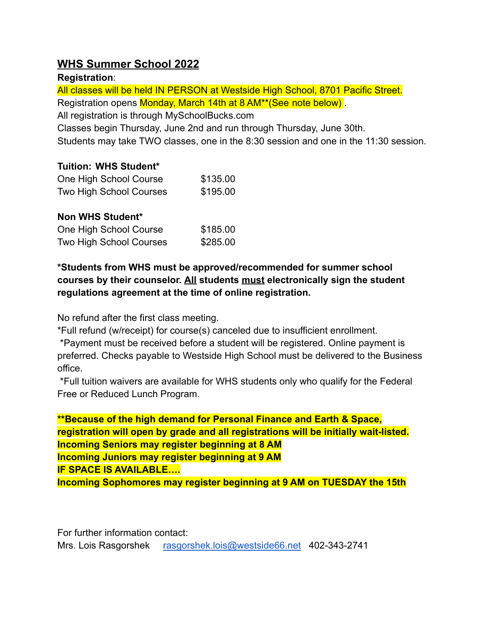# **WHS Summer School 2022**

## **Registration**:

All classes will be held IN PERSON at Westside High School, 8701 Pacific Street. Registration opens Monday, March 14th at 8 AM\*\*(See note below) .

All registration is through MySchoolBucks.com

Classes begin Thursday, June 2nd and run through Thursday, June 30th.

Students may take TWO classes, one in the 8:30 session and one in the 11:30 session.

## **Tuition: WHS Student\***

| One High School Course         | \$135.00 |
|--------------------------------|----------|
| <b>Two High School Courses</b> | \$195.00 |

# **Non WHS Student\***

| One High School Course         | \$185.00 |
|--------------------------------|----------|
| <b>Two High School Courses</b> | \$285.00 |

# **\*Students from WHS must be approved/recommended for summer school courses by their counselor. All students must electronically sign the student regulations agreement at the time of online registration.**

No refund after the first class meeting.

\*Full refund (w/receipt) for course(s) canceled due to insufficient enrollment.

\*Payment must be received before a student will be registered. Online payment is preferred. Checks payable to Westside High School must be delivered to the Business office.

\*Full tuition waivers are available for WHS students only who qualify for the Federal Free or Reduced Lunch Program.

**\*\*Because of the high demand for Personal Finance and Earth & Space, registration will open by grade and all registrations will be initially wait-listed. Incoming Seniors may register beginning at 8 AM Incoming Juniors may register beginning at 9 AM**

**IF SPACE IS AVAILABLE….**

**Incoming Sophomores may register beginning at 9 AM on TUESDAY the 15th**

For further information contact:

Mrs. Lois Rasgorshek [rasgorshek.lois@westside66.net](mailto:rasgorshek.lois@westside66.net) 402-343-2741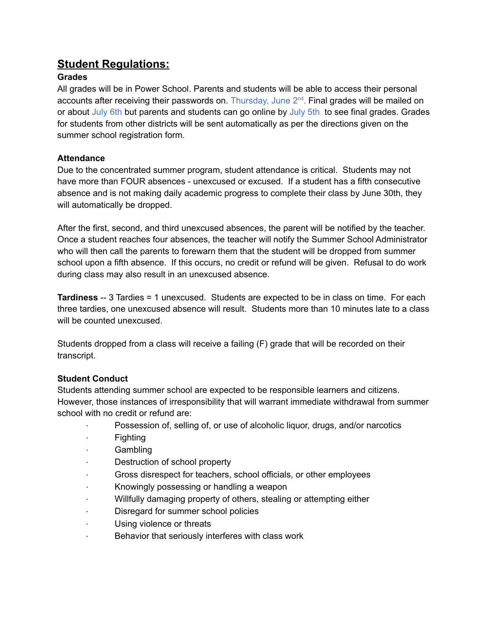# **Student Regulations:**

### **Grades**

All grades will be in Power School. Parents and students will be able to access their personal accounts after receiving their passwords on. Thursday, June  $2^{nd}$ . Final grades will be mailed on or about July 6th but parents and students can go online by July 5th to see final grades. Grades for students from other districts will be sent automatically as per the directions given on the summer school registration form.

#### **Attendance**

Due to the concentrated summer program, student attendance is critical. Students may not have more than FOUR absences - unexcused or excused. If a student has a fifth consecutive absence and is not making daily academic progress to complete their class by June 30th, they will automatically be dropped.

After the first, second, and third unexcused absences, the parent will be notified by the teacher. Once a student reaches four absences, the teacher will notify the Summer School Administrator who will then call the parents to forewarn them that the student will be dropped from summer school upon a fifth absence. If this occurs, no credit or refund will be given. Refusal to do work during class may also result in an unexcused absence.

**Tardiness** -- 3 Tardies = 1 unexcused. Students are expected to be in class on time. For each three tardies, one unexcused absence will result. Students more than 10 minutes late to a class will be counted unexcused.

Students dropped from a class will receive a failing (F) grade that will be recorded on their transcript.

#### **Student Conduct**

Students attending summer school are expected to be responsible learners and citizens. However, those instances of irresponsibility that will warrant immediate withdrawal from summer school with no credit or refund are:

- Possession of, selling of, or use of alcoholic liquor, drugs, and/or narcotics
- **Fighting**
- · Gambling
- · Destruction of school property
- · Gross disrespect for teachers, school officials, or other employees
- · Knowingly possessing or handling a weapon
- Willfully damaging property of others, stealing or attempting either
- Disregard for summer school policies
- · Using violence or threats
- · Behavior that seriously interferes with class work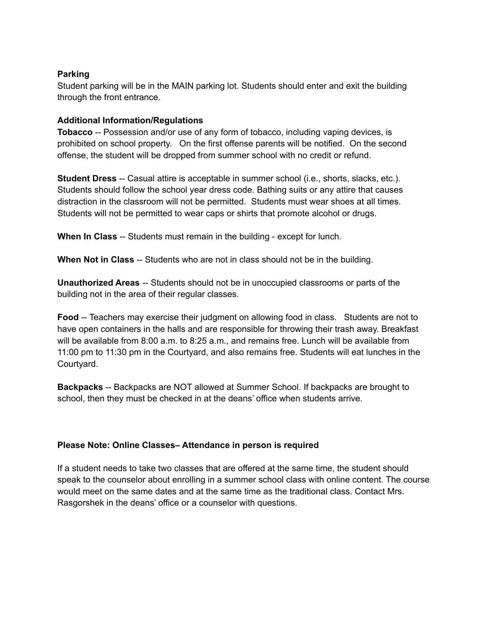#### **Parking**

Student parking will be in the MAIN parking lot. Students should enter and exit the building through the front entrance.

#### **Additional Information/Regulations**

**Tobacco** -- Possession and/or use of any form of tobacco, including vaping devices, is prohibited on school property. On the first offense parents will be notified. On the second offense, the student will be dropped from summer school with no credit or refund.

**Student Dress** -- Casual attire is acceptable in summer school (i.e., shorts, slacks, etc.). Students should follow the school year dress code. Bathing suits or any attire that causes distraction in the classroom will not be permitted. Students must wear shoes at all times. Students will not be permitted to wear caps or shirts that promote alcohol or drugs.

**When In Class** -- Students must remain in the building - except for lunch.

**When Not in Class** -- Students who are not in class should not be in the building.

**Unauthorized Areas** -- Students should not be in unoccupied classrooms or parts of the building not in the area of their regular classes.

**Food** -- Teachers may exercise their judgment on allowing food in class. Students are not to have open containers in the halls and are responsible for throwing their trash away. Breakfast will be available from 8:00 a.m. to 8:25 a.m., and remains free. Lunch will be available from 11:00 pm to 11:30 pm in the Courtyard, and also remains free. Students will eat lunches in the Courtyard.

**Backpacks** -- Backpacks are NOT allowed at Summer School. If backpacks are brought to school, then they must be checked in at the deans' office when students arrive.

#### **Please Note: Online Classes– Attendance in person is required**

If a student needs to take two classes that are offered at the same time, the student should speak to the counselor about enrolling in a summer school class with online content. The course would meet on the same dates and at the same time as the traditional class. Contact Mrs. Rasgorshek in the deans' office or a counselor with questions.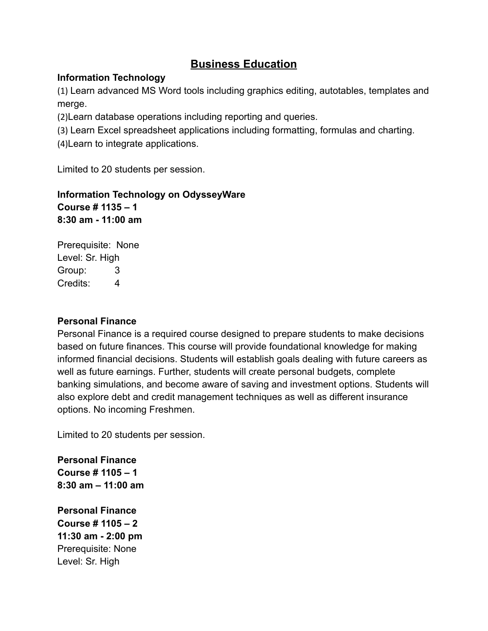# **Business Education**

### **Information Technology**

(1) Learn advanced MS Word tools including graphics editing, autotables, templates and merge.

(2)Learn database operations including reporting and queries.

(3) Learn Excel spreadsheet applications including formatting, formulas and charting.

(4)Learn to integrate applications.

Limited to 20 students per session.

# **Information Technology on OdysseyWare Course # 1135 – 1 8:30 am - 11:00 am**

Prerequisite: None Level: Sr. High Group: 3 Credits: 4

#### **Personal Finance**

Personal Finance is a required course designed to prepare students to make decisions based on future finances. This course will provide foundational knowledge for making informed financial decisions. Students will establish goals dealing with future careers as well as future earnings. Further, students will create personal budgets, complete banking simulations, and become aware of saving and investment options. Students will also explore debt and credit management techniques as well as different insurance options. No incoming Freshmen.

Limited to 20 students per session.

**Personal Finance Course # 1105 – 1 8:30 am – 11:00 am**

**Personal Finance Course # 1105 – 2 11:30 am - 2:00 pm** Prerequisite: None Level: Sr. High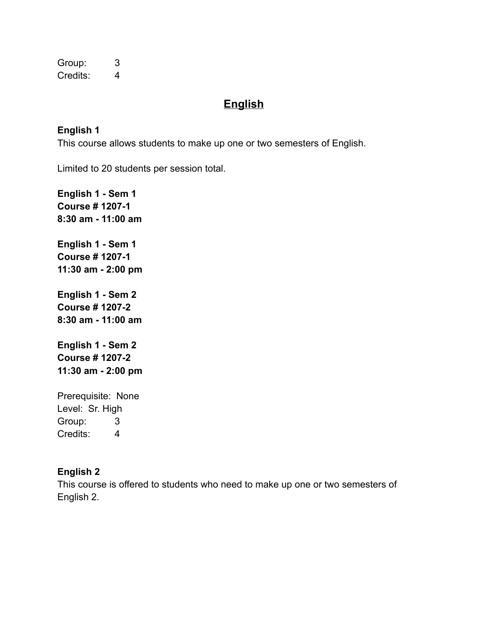Group: 3 Credits: 4

# **English**

## **English 1**

This course allows students to make up one or two semesters of English.

Limited to 20 students per session total.

**English 1 - Sem 1 Course # 1207-1 8:30 am - 11:00 am English 1 - Sem 1 Course # 1207-1 11:30 am - 2:00 pm English 1 - Sem 2 Course # 1207-2 8:30 am - 11:00 am English 1 - Sem 2 Course # 1207-2 11:30 am - 2:00 pm** Prerequisite: None

Level: Sr. High Group: 3 Credits: 4

# **English 2**

This course is offered to students who need to make up one or two semesters of English 2.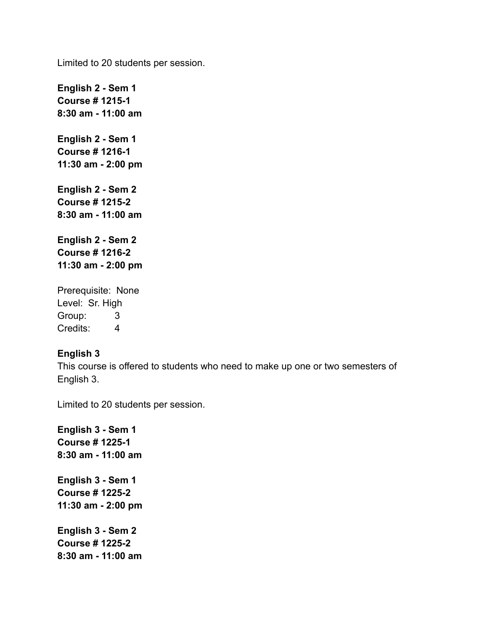Limited to 20 students per session.

**English 2 - Sem 1 Course # 1215-1 8:30 am - 11:00 am English 2 - Sem 1 Course # 1216-1 11:30 am - 2:00 pm English 2 - Sem 2 Course # 1215-2 8:30 am - 11:00 am English 2 - Sem 2 Course # 1216-2 11:30 am - 2:00 pm** Prerequisite: None Level: Sr. High

Group: 3 Credits: 4

#### **English 3**

This course is offered to students who need to make up one or two semesters of English 3.

Limited to 20 students per session.

**English 3 - Sem 1 Course # 1225-1 8:30 am - 11:00 am English 3 - Sem 1 Course # 1225-2 11:30 am - 2:00 pm English 3 - Sem 2 Course # 1225-2 8:30 am - 11:00 am**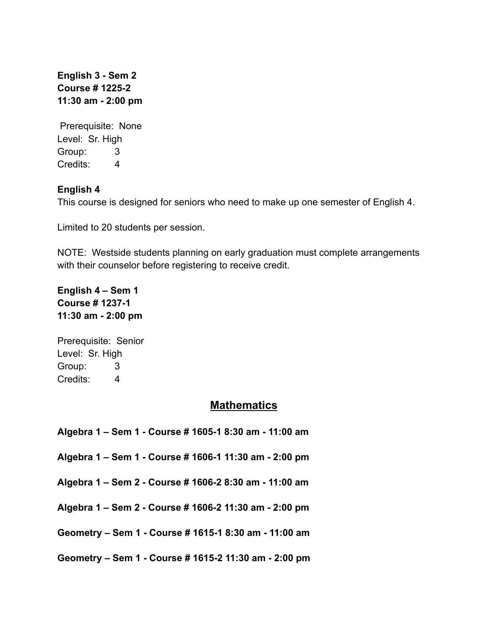**English 3 - Sem 2 Course # 1225-2 11:30 am - 2:00 pm**

Prerequisite: None Level: Sr. High Group: 3 Credits: 4

### **English 4**

This course is designed for seniors who need to make up one semester of English 4.

Limited to 20 students per session.

NOTE: Westside students planning on early graduation must complete arrangements with their counselor before registering to receive credit.

**English 4 – Sem 1 Course # 1237-1 11:30 am - 2:00 pm**

Prerequisite: Senior Level: Sr. High Group: 3 Credits: 4

## **Mathematics**

**Algebra 1 – Sem 1 - Course # 1605-1 8:30 am - 11:00 am**

**Algebra 1 – Sem 1 - Course # 1606-1 11:30 am - 2:00 pm**

**Algebra 1 – Sem 2 - Course # 1606-2 8:30 am - 11:00 am**

**Algebra 1 – Sem 2 - Course # 1606-2 11:30 am - 2:00 pm**

**Geometry – Sem 1 - Course # 1615-1 8:30 am - 11:00 am**

**Geometry – Sem 1 - Course # 1615-2 11:30 am - 2:00 pm**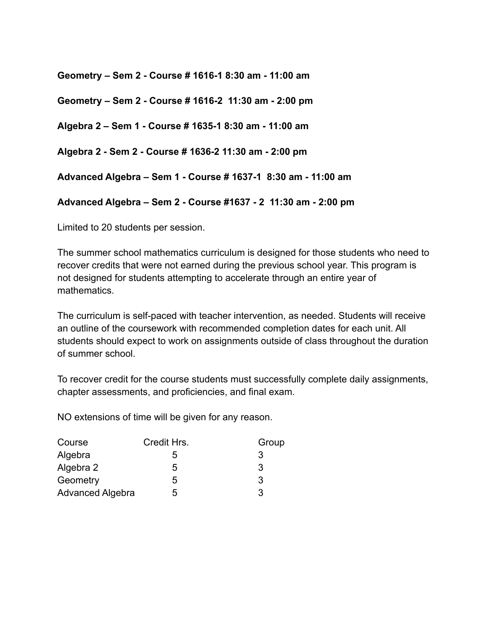**Geometry – Sem 2 - Course # 1616-1 8:30 am - 11:00 am**

**Geometry – Sem 2 - Course # 1616-2 11:30 am - 2:00 pm**

**Algebra 2 – Sem 1 - Course # 1635-1 8:30 am - 11:00 am**

**Algebra 2 - Sem 2 - Course # 1636-2 11:30 am - 2:00 pm**

**Advanced Algebra – Sem 1 - Course # 1637-1 8:30 am - 11:00 am**

**Advanced Algebra – Sem 2 - Course #1637 - 2 11:30 am - 2:00 pm**

Limited to 20 students per session.

The summer school mathematics curriculum is designed for those students who need to recover credits that were not earned during the previous school year. This program is not designed for students attempting to accelerate through an entire year of mathematics.

The curriculum is self-paced with teacher intervention, as needed. Students will receive an outline of the coursework with recommended completion dates for each unit. All students should expect to work on assignments outside of class throughout the duration of summer school.

To recover credit for the course students must successfully complete daily assignments, chapter assessments, and proficiencies, and final exam.

NO extensions of time will be given for any reason.

| Course                  | Credit Hrs. | Group |
|-------------------------|-------------|-------|
| Algebra                 | 5           | 3     |
| Algebra 2               | 5           | 3     |
| Geometry                | 5           | 3     |
| <b>Advanced Algebra</b> | 5           | 3     |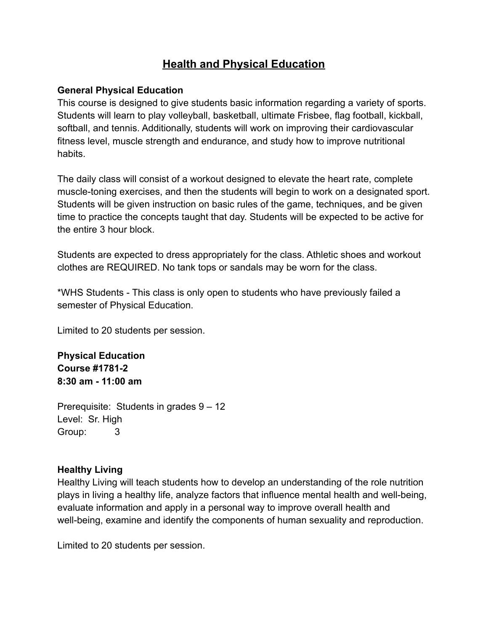# **Health and Physical Education**

### **General Physical Education**

This course is designed to give students basic information regarding a variety of sports. Students will learn to play volleyball, basketball, ultimate Frisbee, flag football, kickball, softball, and tennis. Additionally, students will work on improving their cardiovascular fitness level, muscle strength and endurance, and study how to improve nutritional habits.

The daily class will consist of a workout designed to elevate the heart rate, complete muscle-toning exercises, and then the students will begin to work on a designated sport. Students will be given instruction on basic rules of the game, techniques, and be given time to practice the concepts taught that day. Students will be expected to be active for the entire 3 hour block.

Students are expected to dress appropriately for the class. Athletic shoes and workout clothes are REQUIRED. No tank tops or sandals may be worn for the class.

\*WHS Students - This class is only open to students who have previously failed a semester of Physical Education.

Limited to 20 students per session.

**Physical Education Course #1781-2 8:30 am - 11:00 am**

Prerequisite: Students in grades 9 – 12 Level: Sr. High Group: 3

## **Healthy Living**

Healthy Living will teach students how to develop an understanding of the role nutrition plays in living a healthy life, analyze factors that influence mental health and well-being, evaluate information and apply in a personal way to improve overall health and well-being, examine and identify the components of human sexuality and reproduction.

Limited to 20 students per session.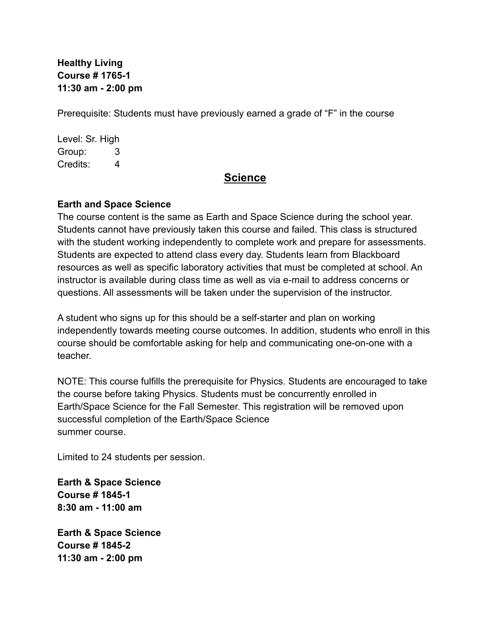# **Healthy Living Course # 1765-1 11:30 am - 2:00 pm**

Prerequisite: Students must have previously earned a grade of "F" in the course

Level: Sr. High Group: 3 Credits: 4

# **Science**

### **Earth and Space Science**

The course content is the same as Earth and Space Science during the school year. Students cannot have previously taken this course and failed. This class is structured with the student working independently to complete work and prepare for assessments. Students are expected to attend class every day. Students learn from Blackboard resources as well as specific laboratory activities that must be completed at school. An instructor is available during class time as well as via e-mail to address concerns or questions. All assessments will be taken under the supervision of the instructor.

A student who signs up for this should be a self-starter and plan on working independently towards meeting course outcomes. In addition, students who enroll in this course should be comfortable asking for help and communicating one-on-one with a teacher.

NOTE: This course fulfills the prerequisite for Physics. Students are encouraged to take the course before taking Physics. Students must be concurrently enrolled in Earth/Space Science for the Fall Semester. This registration will be removed upon successful completion of the Earth/Space Science summer course.

Limited to 24 students per session.

**Earth & Space Science Course # 1845-1 8:30 am - 11:00 am**

**Earth & Space Science Course # 1845-2 11:30 am - 2:00 pm**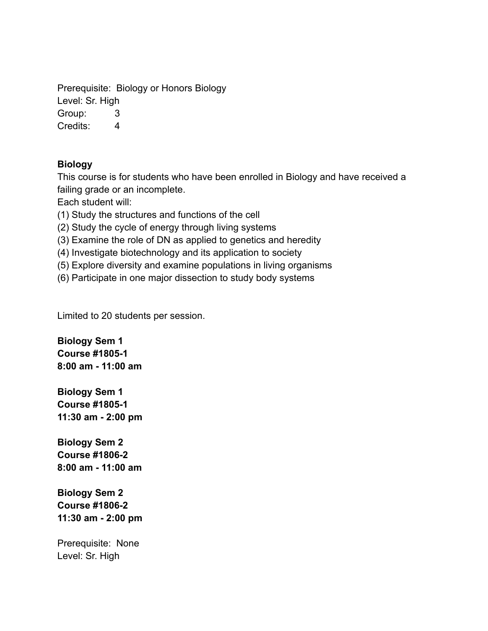Prerequisite: Biology or Honors Biology Level: Sr. High

Group: 3

Credits: 4

# **Biology**

This course is for students who have been enrolled in Biology and have received a failing grade or an incomplete.

Each student will:

(1) Study the structures and functions of the cell

(2) Study the cycle of energy through living systems

(3) Examine the role of DN as applied to genetics and heredity

(4) Investigate biotechnology and its application to society

(5) Explore diversity and examine populations in living organisms

(6) Participate in one major dissection to study body systems

Limited to 20 students per session.

**Biology Sem 1 Course #1805-1 8:00 am - 11:00 am**

**Biology Sem 1 Course #1805-1 11:30 am - 2:00 pm**

**Biology Sem 2 Course #1806-2 8:00 am - 11:00 am**

**Biology Sem 2 Course #1806-2 11:30 am - 2:00 pm**

Prerequisite: None Level: Sr. High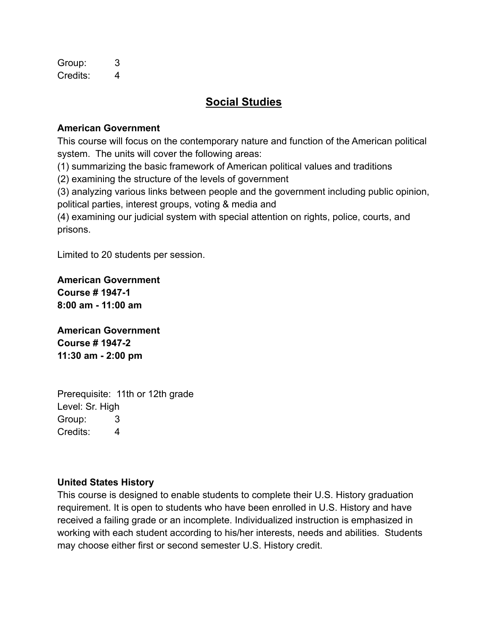Group: 3 Credits: 4

# **Social Studies**

## **American Government**

This course will focus on the contemporary nature and function of the American political system. The units will cover the following areas:

(1) summarizing the basic framework of American political values and traditions

(2) examining the structure of the levels of government

(3) analyzing various links between people and the government including public opinion, political parties, interest groups, voting & media and

(4) examining our judicial system with special attention on rights, police, courts, and prisons.

Limited to 20 students per session.

**American Government Course # 1947-1 8:00 am - 11:00 am**

**American Government Course # 1947-2 11:30 am - 2:00 pm**

Prerequisite: 11th or 12th grade Level: Sr. High Group: 3 Credits: 4

## **United States History**

This course is designed to enable students to complete their U.S. History graduation requirement. It is open to students who have been enrolled in U.S. History and have received a failing grade or an incomplete. Individualized instruction is emphasized in working with each student according to his/her interests, needs and abilities. Students may choose either first or second semester U.S. History credit.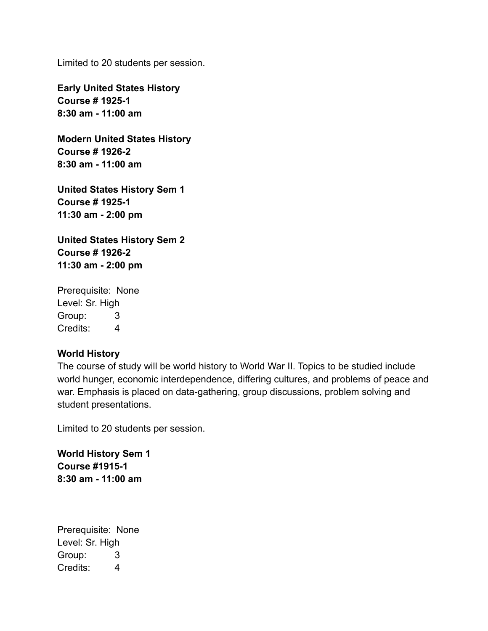Limited to 20 students per session.

**Early United States History Course # 1925-1 8:30 am - 11:00 am**

**Modern United States History Course # 1926-2 8:30 am - 11:00 am**

**United States History Sem 1 Course # 1925-1 11:30 am - 2:00 pm**

**United States History Sem 2 Course # 1926-2 11:30 am - 2:00 pm**

Prerequisite: None Level: Sr. High Group: 3 Credits: 4

#### **World History**

The course of study will be world history to World War II. Topics to be studied include world hunger, economic interdependence, differing cultures, and problems of peace and war. Emphasis is placed on data-gathering, group discussions, problem solving and student presentations.

Limited to 20 students per session.

**World History Sem 1 Course #1915-1 8:30 am - 11:00 am**

Prerequisite: None Level: Sr. High Group: 3 Credits: 4